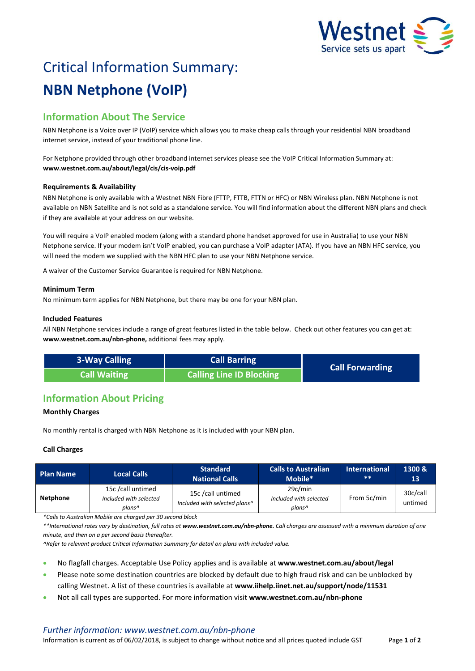

# Critical Information Summary: **NBN Netphone (VoIP)**

# **Information About The Service**

NBN Netphone is a Voice over IP (VoIP) service which allows you to make cheap calls through your residential NBN broadband internet service, instead of your traditional phone line.

For Netphone provided through other broadband internet services please see the VoIP Critical Information Summary at: **www.westnet.com.au/about/legal/cis/cis-voip.pdf**

# **Requirements & Availability**

NBN Netphone is only available with a Westnet NBN Fibre (FTTP, FTTB, FTTN or HFC) or NBN Wireless plan. NBN Netphone is not available on NBN Satellite and is not sold as a standalone service. You will find information about the different NBN plans and check if they are available at your address on our website.

You will require a VoIP enabled modem (along with a standard phone handset approved for use in Australia) to use your NBN Netphone service. If your modem isn't VoIP enabled, you can purchase a VoIP adapter (ATA). If you have an NBN HFC service, you will need the modem we supplied with the NBN HFC plan to use your NBN Netphone service.

A waiver of the Customer Service Guarantee is required for NBN Netphone.

#### **Minimum Term**

No minimum term applies for NBN Netphone, but there may be one for your NBN plan.

#### **Included Features**

All NBN Netphone services include a range of great features listed in the table below. Check out other features you can get at: **www.westnet.com.au/nbn-phone,** additional fees may apply.

| <b>3-Way Calling</b> | <b>Call Barring</b>             | <b>Call Forwarding</b> |  |
|----------------------|---------------------------------|------------------------|--|
| Call Waiting         | <b>Calling Line ID Blocking</b> |                        |  |

# **Information About Pricing**

# **Monthly Charges**

No monthly rental is charged with NBN Netphone as it is included with your NBN plan.

# **Call Charges**

| <b>Plan Name</b> | <b>Local Calls</b>                                    | <b>Standard</b><br><b>National Calls</b>           | <b>Calls to Australian</b><br>Mobile*       | <b>International</b><br>$* *$ | 1300 &<br>13        |
|------------------|-------------------------------------------------------|----------------------------------------------------|---------------------------------------------|-------------------------------|---------------------|
| <b>Netphone</b>  | 15c /call untimed<br>Included with selected<br>plans^ | 15c /call untimed<br>Included with selected plans^ | 29c/min<br>Included with selected<br>plans^ | From 5c/min                   | 30c/call<br>untimed |

*\*Calls to Australian Mobile are charged per 30 second block* 

*\*\*International rates vary by destination, full rates at www.westnet.com.au/nbn-phone. Call charges are assessed with a minimum duration of one minute, and then on a per second basis thereafter.*

*^Refer to relevant product Critical Information Summary for detail on plans with included value.*

- No flagfall charges. Acceptable Use Policy applies and is available at **www.westnet.com.au/about/legal**
- Please note some destination countries are blocked by default due to high fraud risk and can be unblocked by calling Westnet. A list of these countries is available at **www.iihelp.iinet.net.au/support/node/11531**
- Not all call types are supported. For more information visit **www.westnet.com.au/nbn-phone**

# *Further information: www.westnet.com.au/nbn-phone*

Information is current as of 06/02/2018, is subject to change without notice and all prices quoted include GST Page **1** of **2**